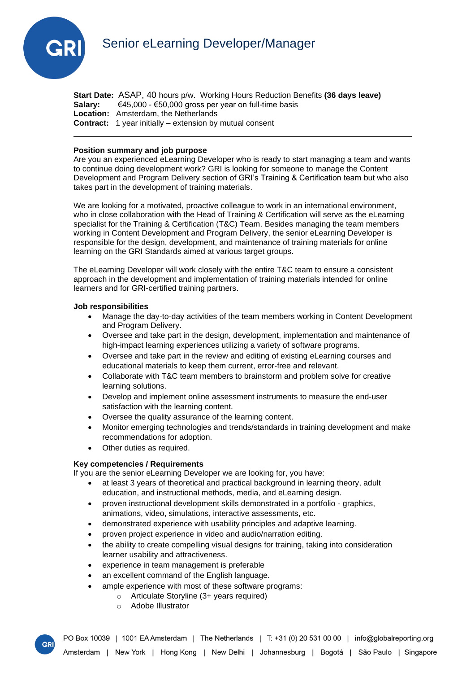

**Start Date:** ASAP, 40 hours p/w. Working Hours Reduction Benefits **(36 days leave) Salary:** €45,000 - €50,000 gross per year on full-time basis **Location:** Amsterdam, the Netherlands **Contract:** 1 year initially – extension by mutual consent

## **Position summary and job purpose**

Are you an experienced eLearning Developer who is ready to start managing a team and wants to continue doing development work? GRI is looking for someone to manage the Content Development and Program Delivery section of GRI's Training & Certification team but who also takes part in the development of training materials.

We are looking for a motivated, proactive colleague to work in an international environment, who in close collaboration with the Head of Training & Certification will serve as the eLearning specialist for the Training & Certification (T&C) Team. Besides managing the team members working in Content Development and Program Delivery, the senior eLearning Developer is responsible for the design, development, and maintenance of training materials for online learning on the GRI Standards aimed at various target groups.

The eLearning Developer will work closely with the entire T&C team to ensure a consistent approach in the development and implementation of training materials intended for online learners and for GRI-certified training partners.

#### **Job responsibilities**

- Manage the day-to-day activities of the team members working in Content Development and Program Delivery.
- Oversee and take part in the design, development, implementation and maintenance of high-impact learning experiences utilizing a variety of software programs.
- Oversee and take part in the review and editing of existing eLearning courses and educational materials to keep them current, error-free and relevant.
- Collaborate with T&C team members to brainstorm and problem solve for creative learning solutions.
- Develop and implement online assessment instruments to measure the end-user satisfaction with the learning content.
- Oversee the quality assurance of the learning content.
- Monitor emerging technologies and trends/standards in training development and make recommendations for adoption.
- Other duties as required.

### **Key competencies / Requirements**

If you are the senior eLearning Developer we are looking for, you have:

- at least 3 years of theoretical and practical background in learning theory, adult education, and instructional methods, media, and eLearning design.
- proven instructional development skills demonstrated in a portfolio graphics, animations, video, simulations, interactive assessments, etc.
- demonstrated experience with usability principles and adaptive learning.
- proven project experience in video and audio/narration editing.
- the ability to create compelling visual designs for training, taking into consideration learner usability and attractiveness.
- experience in team management is preferable
- an excellent command of the English language.
- ample experience with most of these software programs:
	- o Articulate Storyline (3+ years required)
	- o Adobe Illustrator

**GR**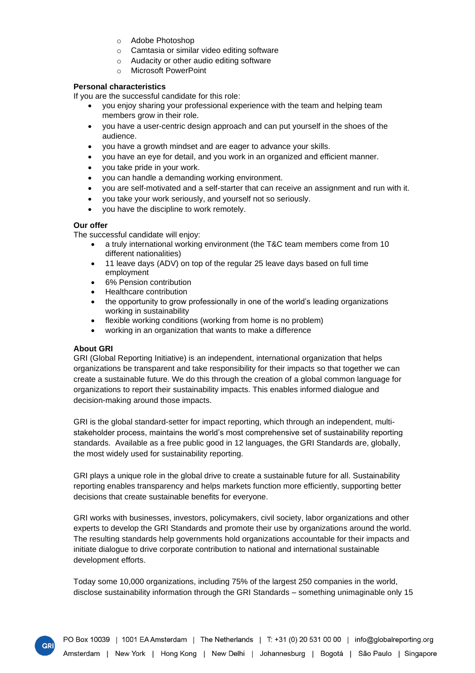- o Adobe Photoshop
- o Camtasia or similar video editing software
- o Audacity or other audio editing software
- o Microsoft PowerPoint

# **Personal characteristics**

If you are the successful candidate for this role:

- you enjoy sharing your professional experience with the team and helping team members grow in their role.
- you have a user-centric design approach and can put yourself in the shoes of the audience.
- you have a growth mindset and are eager to advance your skills.
- you have an eye for detail, and you work in an organized and efficient manner.
- you take pride in your work.
- you can handle a demanding working environment.
- you are self-motivated and a self-starter that can receive an assignment and run with it.
- you take your work seriously, and yourself not so seriously.
- you have the discipline to work remotely.

## **Our offer**

The successful candidate will enjoy:

- a truly international working environment (the T&C team members come from 10 different nationalities)
- 11 leave days (ADV) on top of the regular 25 leave days based on full time employment
- 6% Pension contribution
- Healthcare contribution
- the opportunity to grow professionally in one of the world's leading organizations working in sustainability
- flexible working conditions (working from home is no problem)
- working in an organization that wants to make a difference

# **About GRI**

GRI

GRI (Global Reporting Initiative) is an independent, international organization that helps organizations be transparent and take responsibility for their impacts so that together we can create a sustainable future. We do this through the creation of a global common language for organizations to report their sustainability impacts. This enables informed dialogue and decision-making around those impacts.

GRI is the global standard-setter for impact reporting, which through an independent, multistakeholder process, maintains the world's most comprehensive set of sustainability reporting standards. Available as a free public good in 12 languages, the GRI Standards are, globally, the most widely used for sustainability reporting.

GRI plays a unique role in the global drive to create a sustainable future for all. Sustainability reporting enables transparency and helps markets function more efficiently, supporting better decisions that create sustainable benefits for everyone.

GRI works with businesses, investors, policymakers, civil society, labor organizations and other experts to develop the GRI Standards and promote their use by organizations around the world. The resulting standards help governments hold organizations accountable for their impacts and initiate dialogue to drive corporate contribution to national and international sustainable development efforts.

Today some 10,000 organizations, including 75% of the largest 250 companies in the world, disclose sustainability information through the GRI Standards – something unimaginable only 15